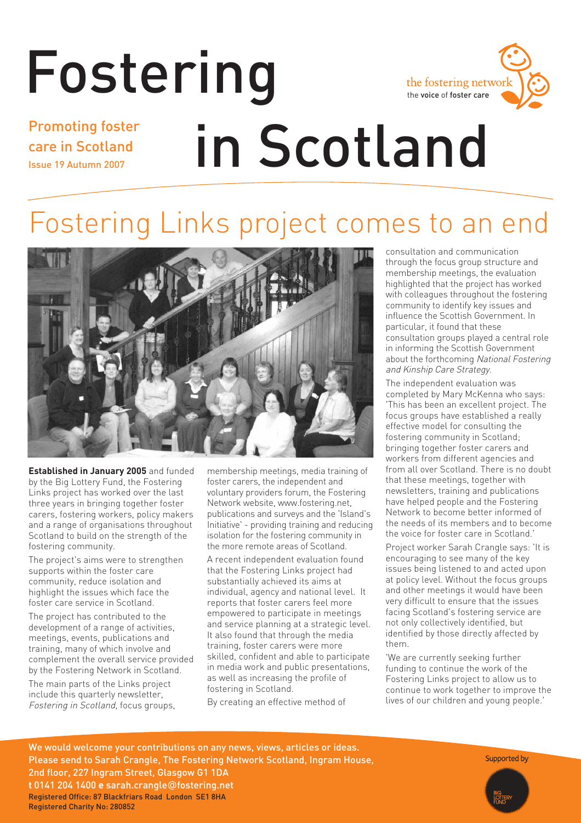# Fostering Promoting foster



### care in Scotland Issue 19 Autumn 2007

# in Scotland

## Fostering Links project comes to an end



**Established in January 2005** and funded by the Big Lottery Fund, the Fostering Links project has worked over the last three years in bringing together foster carers, fostering workers, policy makers and a range of organisations throughout Scotland to build on the strength of the fostering community.

The project's aims were to strengthen supports within the foster care community, reduce isolation and highlight the issues which face the foster care service in Scotland.

The project has contributed to the development of a range of activities. meetings, events, publications and training, many of which involve and complement the overall service provided by the Fostering Network in Scotland.

The main parts of the Links project include this quarterly newsletter, Fostering in Scotland, focus groups, membership meetings, media training of foster carers, the independent and voluntary providers forum, the Fostering Network website, www.fostering.net, publications and surveys and the 'Island's Initiative' - providing training and reducing isolation for the fostering community in the more remote areas of Scotland.

A recent independent evaluation found that the Fostering Links project had substantially achieved its aims at individual, agency and national level. It reports that foster carers feel more empowered to participate in meetings and service planning at a strategic level. It also found that through the media training, foster carers were more skilled, confident and able to participate in media work and public presentations, as well as increasing the profile of fostering in Scotland.

By creating an effective method of

consultation and communication through the focus group structure and membership meetings, the evaluation highlighted that the project has worked with colleagues throughout the fostering community to identify key issues and influence the Scottish Government. In particular, it found that these consultation groups played a central role in informing the Scottish Government about the forthcoming National Fostering and Kinship Care Strategy.

The independent evaluation was completed by Mary McKenna who says: 'This has been an excellent project. The focus groups have established a really effective model for consulting the fostering community in Scotland; bringing together foster carers and workers from different agencies and from all over Scotland. There is no doubt that these meetings, together with newsletters, training and publications have helped people and the Fostering Network to become better informed of the needs of its members and to become the voice for foster care in Scotland.'

Project worker Sarah Crangle says: 'It is encouraging to see many of the key issues being listened to and acted upon at policy level. Without the focus groups and other meetings it would have been very difficult to ensure that the issues facing Scotland's fostering service are not only collectively identified, but identified by those directly affected by them.

'We are currently seeking further funding to continue the work of the Fostering Links project to allow us to continue to work together to improve the lives of our children and young people.'

We would welcome your contributions on any news, views, articles or ideas. Please send to Sarah Crangle, The Fostering Network Scotland, Ingram House, 2nd floor, 227 Ingram Street, Glasgow G1 1DA **t** 0141 204 1400 **e** sarah.crangle@fostering.net Registered Office: 87 Blackfriars Road London SE1 8HA Registered Charity No: 280852

Supported by

Fostering in Scotland **1**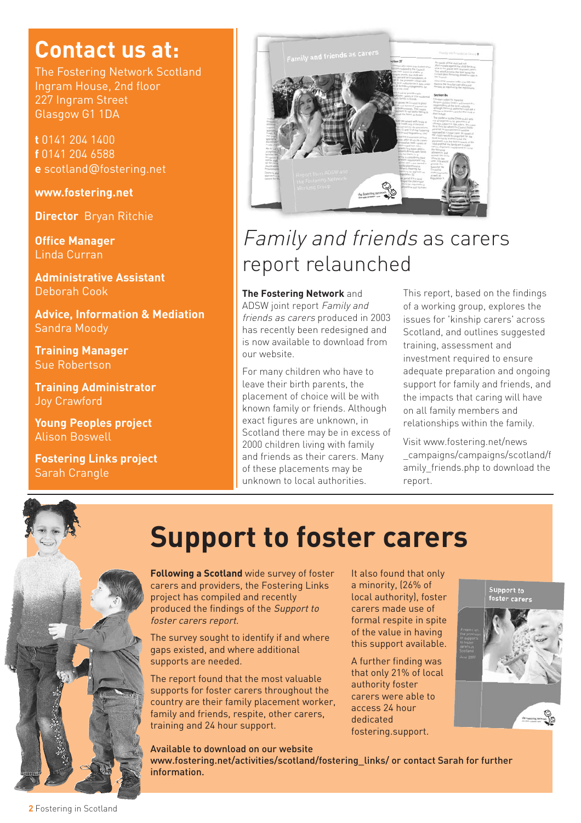### **Contact us at:**

The Fostering Network Scotland Ingram House, 2nd floor 227 Ingram Street Glasgow G1 1DA

**t** 0141 204 1400 **f** 0141 204 6588 **e** scotland@fostering.net

**www.fostering.net**

**Director** Bryan Ritchie

**Office Manager** Linda Curran

**Administrative Assistant**  Deborah Cook

**Advice, Information & Mediation**  Sandra Moody

**Training Manager** Sue Robertson

**Training Administrator**  Joy Crawford

**Young Peoples project** Alison Boswell

**Fostering Links project** Sarah Crangle



### Family and friends as carers report relaunched

#### **The Fostering Network** and

ADSW joint report Family and friends as carers produced in 2003 has recently been redesigned and is now available to download from our website.

For many children who have to leave their birth parents, the placement of choice will be with known family or friends. Although exact figures are unknown, in Scotland there may be in excess of 2000 children living with family and friends as their carers. Many of these placements may be unknown to local authorities.

This report, based on the findings of a working group, explores the issues for 'kinship carers' across Scotland, and outlines suggested training, assessment and investment required to ensure adequate preparation and ongoing support for family and friends, and the impacts that caring will have on all family members and relationships within the family.

Visit www.fostering.net/news \_campaigns/campaigns/scotland/f amily friends.php to download the report.



### **Support to foster carers**

**Following a Scotland** wide survey of foster carers and providers, the Fostering Links project has compiled and recently produced the findings of the Support to foster carers report.

The survey sought to identify if and where gaps existed, and where additional supports are needed.

The report found that the most valuable supports for foster carers throughout the country are their family placement worker, family and friends, respite, other carers, training and 24 hour support.

It also found that only a minority, (26% of local authority), foster carers made use of formal respite in spite of the value in having this support available.

A further finding was that only 21% of local authority foster carers were able to access 24 hour dedicated fostering.support.



Available to download on our website www.fostering.net/activities/scotland/fostering\_links/ or contact Sarah for further information.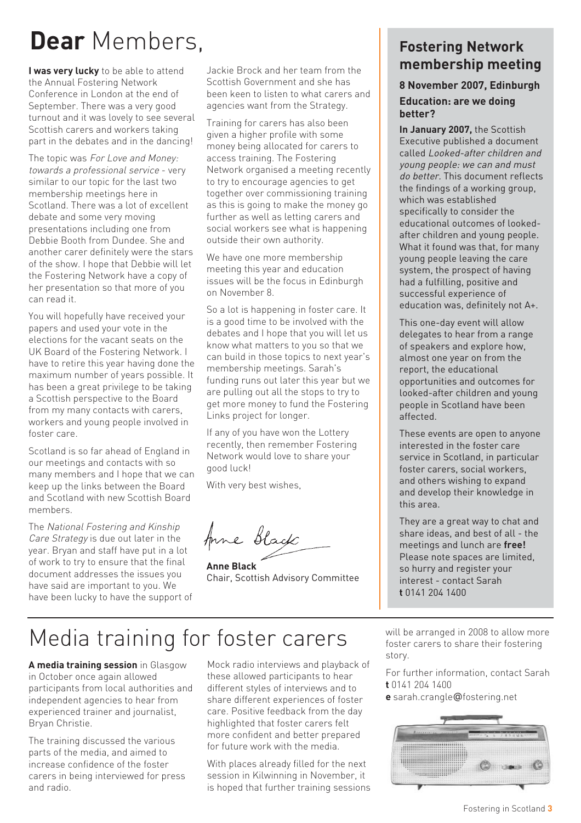### **Dear** Members,

**I was very lucky** to be able to attend the Annual Fostering Network Conference in London at the end of September. There was a very good turnout and it was lovely to see several Scottish carers and workers taking part in the debates and in the dancing!

The topic was For Love and Money: towards a professional service - very similar to our topic for the last two membership meetings here in Scotland. There was a lot of excellent debate and some very moving presentations including one from Debbie Booth from Dundee. She and another carer definitely were the stars of the show. I hope that Debbie will let the Fostering Network have a copy of her presentation so that more of you can read it.

You will hopefully have received your papers and used your vote in the elections for the vacant seats on the UK Board of the Fostering Network. I have to retire this year having done the maximum number of years possible. It has been a great privilege to be taking a Scottish perspective to the Board from my many contacts with carers, workers and young people involved in foster care.

Scotland is so far ahead of England in our meetings and contacts with so many members and I hope that we can keep up the links between the Board and Scotland with new Scottish Board members.

The National Fostering and Kinship Care Strategy is due out later in the year. Bryan and staff have put in a lot of work to try to ensure that the final document addresses the issues you have said are important to you. We have been lucky to have the support of Jackie Brock and her team from the Scottish Government and she has been keen to listen to what carers and agencies want from the Strategy.

Training for carers has also been given a higher profile with some money being allocated for carers to access training. The Fostering Network organised a meeting recently to try to encourage agencies to get together over commissioning training as this is going to make the money go further as well as letting carers and social workers see what is happening outside their own authority.

We have one more membership meeting this year and education issues will be the focus in Edinburgh on November 8.

So a lot is happening in foster care. It is a good time to be involved with the debates and I hope that you will let us know what matters to you so that we can build in those topics to next year's membership meetings. Sarah's funding runs out later this year but we are pulling out all the stops to try to get more money to fund the Fostering Links project for longer.

If any of you have won the Lottery recently, then remember Fostering Network would love to share your good luck!

With very best wishes,

Anne Black

**Anne Black** Chair, Scottish Advisory Committee

#### **Fostering Network membership meeting**

#### **8 November 2007, Edinburgh Education: are we doing better?**

**In January 2007,** the Scottish Executive published a document called Looked-after children and young people: we can and must do better. This document reflects the findings of a working group, which was established specifically to consider the educational outcomes of lookedafter children and young people. What it found was that, for many young people leaving the care system, the prospect of having had a fulfilling, positive and successful experience of education was, definitely not A+.

This one-day event will allow delegates to hear from a range of speakers and explore how, almost one year on from the report, the educational opportunities and outcomes for looked-after children and young people in Scotland have been affected.

These events are open to anyone interested in the foster care service in Scotland, in particular foster carers, social workers, and others wishing to expand and develop their knowledge in this area.

They are a great way to chat and share ideas, and best of all - the meetings and lunch are **free!** Please note spaces are limited, so hurry and register your interest - contact Sarah **t** 0141 204 1400

### Media training for foster carers

**A media training session** in Glasgow in October once again allowed participants from local authorities and independent agencies to hear from experienced trainer and journalist, Bryan Christie.

The training discussed the various parts of the media, and aimed to increase confidence of the foster carers in being interviewed for press and radio.

Mock radio interviews and playback of these allowed participants to hear different styles of interviews and to share different experiences of foster care. Positive feedback from the day highlighted that foster carers felt more confident and better prepared for future work with the media.

With places already filled for the next session in Kilwinning in November, it is hoped that further training sessions will be arranged in 2008 to allow more foster carers to share their fostering story.

For further information, contact Sarah **t** 0141 204 1400

**e** sarah.crangle@fostering.net

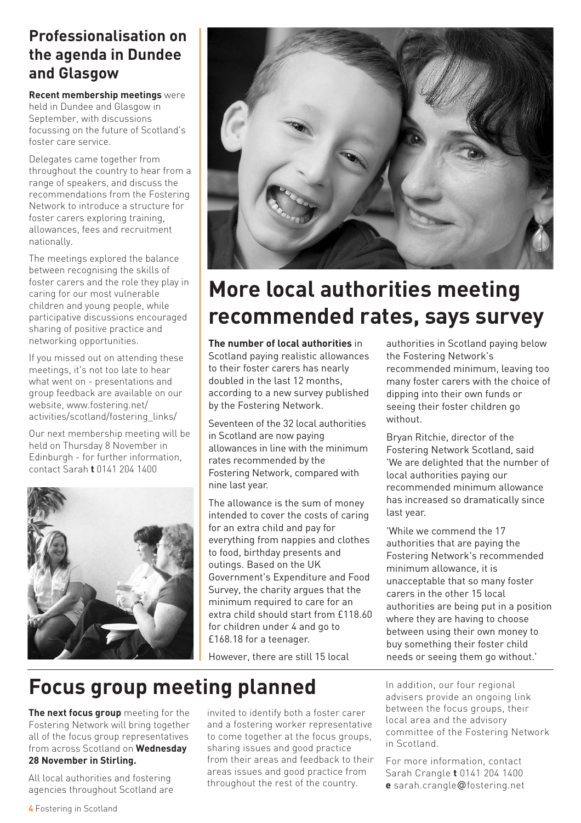#### **Professionalisation on the agenda in Dundee and Glasgow**

**Recent membership meetings** were held in Dundee and Glasgow in September, with discussions focussing on the future of Scotland's foster care service.

Delegates came together from throughout the country to hear from a range of speakers, and discuss the recommendations from the Fostering Network to introduce a structure for foster carers exploring training, allowances, fees and recruitment nationally.

The meetings explored the balance between recognising the skills of foster carers and the role they play in caring for our most vulnerable children and young people, while participative discussions encouraged sharing of positive practice and networking opportunities.

If you missed out on attending these meetings, it's not too late to hear what went on - presentations and group feedback are available on our website, www.fostering.net/ activities/scotland/fostering\_links/

Our next membership meeting will be held on Thursday 8 November in Edinburgh - for further information, contact Sarah **t** 0141 204 1400





### **More local authorities meeting recommended rates, says survey**

**The number of local authorities** in Scotland paying realistic allowances to their foster carers has nearly doubled in the last 12 months, according to a new survey published by the Fostering Network.

Seventeen of the 32 local authorities in Scotland are now paying allowances in line with the minimum rates recommended by the Fostering Network, compared with nine last year.

The allowance is the sum of money intended to cover the costs of caring for an extra child and pay for everything from nappies and clothes to food, birthday presents and outings. Based on the UK Government's Expenditure and Food Survey, the charity argues that the minimum required to care for an extra child should start from £118.60 for children under 4 and go to £168.18 for a teenager.

However, there are still 15 local

authorities in Scotland paying below the Fostering Network's recommended minimum, leaving too many foster carers with the choice of dipping into their own funds or seeing their foster children go without.

Bryan Ritchie, director of the Fostering Network Scotland, said 'We are delighted that the number of local authorities paying our recommended minimum allowance has increased so dramatically since last year.

'While we commend the 17 authorities that are paying the Fostering Network's recommended minimum allowance, it is unacceptable that so many foster carers in the other 15 local authorities are being put in a position where they are having to choose between using their own money to buy something their foster child needs or seeing them go without.'

**Focus group meeting planned**

**The next focus group** meeting for the Fostering Network will bring together all of the focus group representatives from across Scotland on **Wednesday 28 November in Stirling.**

All local authorities and fostering agencies throughout Scotland are invited to identify both a foster carer and a fostering worker representative to come together at the focus groups, sharing issues and good practice from their areas and feedback to their areas issues and good practice from throughout the rest of the country.

In addition, our four regional advisers provide an ongoing link between the focus groups, their local area and the advisory committee of the Fostering Network in Scotland.

For more information, contact Sarah Crangle **t** 0141 204 1400 **e** sarah.crangle@fostering.net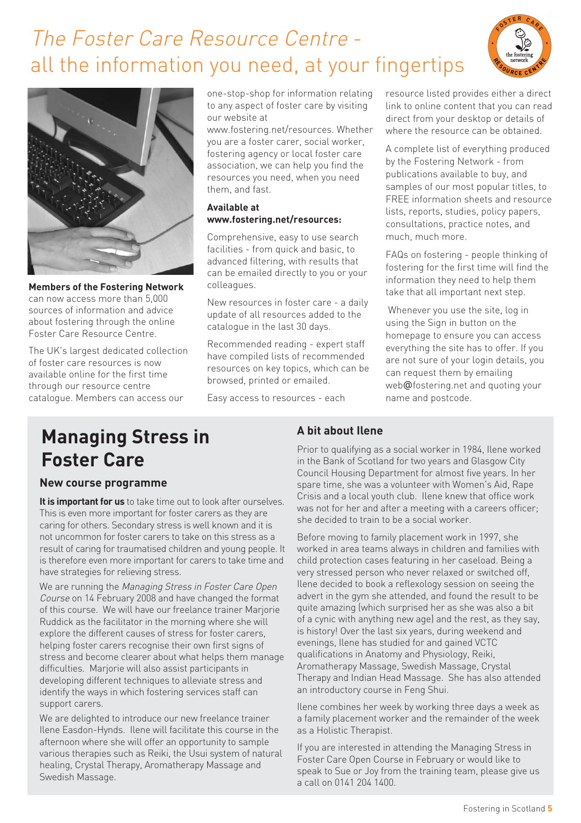### The Foster Care Resource Centre all the information you need, at your fingertips





**Members of the Fostering Network** can now access more than 5,000 sources of information and advice about fostering through the online Foster Care Resource Centre.

The UK's largest dedicated collection of foster care resources is now available online for the first time through our resource centre catalogue. Members can access our

one-stop-shop for information relating to any aspect of foster care by visiting our website at

www.fostering.net/resources. Whether you are a foster carer, social worker, fostering agency or local foster care association, we can help you find the resources you need, when you need them, and fast.

#### **Available at www.fostering.net/resources:**

Comprehensive, easy to use search facilities - from quick and basic, to advanced filtering, with results that can be emailed directly to you or your colleagues.

New resources in foster care - a daily update of all resources added to the catalogue in the last 30 days.

Recommended reading - expert staff have compiled lists of recommended resources on key topics, which can be browsed, printed or emailed.

Easy access to resources - each

resource listed provides either a direct link to online content that you can read direct from your desktop or details of where the resource can be obtained.

A complete list of everything produced by the Fostering Network - from publications available to buy, and samples of our most popular titles, to FREE information sheets and resource lists, reports, studies, policy papers, consultations, practice notes, and much, much more.

FAQs on fostering - people thinking of fostering for the first time will find the information they need to help them take that all important next step.

Whenever you use the site, log in using the Sign in button on the homepage to ensure you can access everything the site has to offer. If you are not sure of your login details, you can request them by emailing web@fostering.net and quoting your name and postcode.

### **Managing Stress in Foster Care**

#### **New course programme**

**It is important for us** to take time out to look after ourselves. This is even more important for foster carers as they are caring for others. Secondary stress is well known and it is not uncommon for foster carers to take on this stress as a result of caring for traumatised children and young people. It is therefore even more important for carers to take time and have strategies for relieving stress.

We are running the Managing Stress in Foster Care Open Course on 14 February 2008 and have changed the format of this course. We will have our freelance trainer Marjorie Ruddick as the facilitator in the morning where she will explore the different causes of stress for foster carers, helping foster carers recognise their own first signs of stress and become clearer about what helps them manage difficulties. Marjorie will also assist participants in developing different techniques to alleviate stress and identify the ways in which fostering services staff can support carers.

We are delighted to introduce our new freelance trainer Ilene Easdon-Hynds. Ilene will facilitate this course in the afternoon where she will offer an opportunity to sample various therapies such as Reiki, the Usui system of natural healing, Crystal Therapy, Aromatherapy Massage and Swedish Massage.

#### **A bit about Ilene**

Prior to qualifying as a social worker in 1984, Ilene worked in the Bank of Scotland for two years and Glasgow City Council Housing Department for almost five years. In her spare time, she was a volunteer with Women's Aid, Rape Crisis and a local youth club. Ilene knew that office work was not for her and after a meeting with a careers officer; she decided to train to be a social worker.

Before moving to family placement work in 1997, she worked in area teams always in children and families with child protection cases featuring in her caseload. Being a very stressed person who never relaxed or switched off, Ilene decided to book a reflexology session on seeing the advert in the gym she attended, and found the result to be quite amazing (which surprised her as she was also a bit of a cynic with anything new age) and the rest, as they say, is history! Over the last six years, during weekend and evenings, Ilene has studied for and gained VCTC qualifications in Anatomy and Physiology, Reiki, Aromatherapy Massage, Swedish Massage, Crystal Therapy and Indian Head Massage. She has also attended an introductory course in Feng Shui.

Ilene combines her week by working three days a week as a family placement worker and the remainder of the week as a Holistic Therapist.

If you are interested in attending the Managing Stress in Foster Care Open Course in February or would like to speak to Sue or Joy from the training team, please give us a call on 0141 204 1400.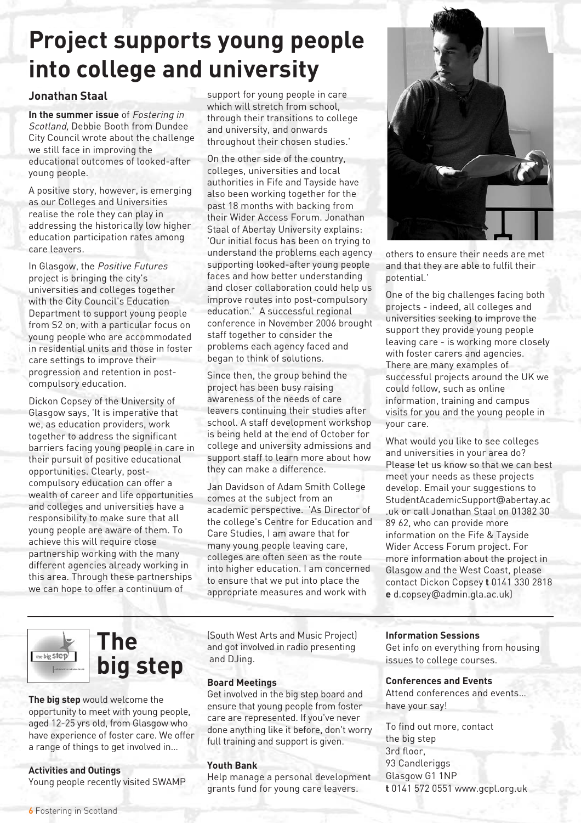### **Project supports young people into college and university**

#### **Jonathan Staal**

**In the summer issue** of Fostering in Scotland, Debbie Booth from Dundee City Council wrote about the challenge we still face in improving the educational outcomes of looked-after young people.

A positive story, however, is emerging as our Colleges and Universities realise the role they can play in addressing the historically low higher education participation rates among care leavers.

In Glasgow, the Positive Futures project is bringing the city's universities and colleges together with the City Council's Education Department to support young people from S2 on, with a particular focus on young people who are accommodated in residential units and those in foster care settings to improve their progression and retention in postcompulsory education.

Dickon Copsey of the University of Glasgow says, 'It is imperative that we, as education providers, work together to address the significant barriers facing young people in care in their pursuit of positive educational opportunities. Clearly, postcompulsory education can offer a wealth of career and life opportunities and colleges and universities have a responsibility to make sure that all young people are aware of them. To achieve this will require close partnership working with the many different agencies already working in this area. Through these partnerships we can hope to offer a continuum of

support for young people in care which will stretch from school, through their transitions to college and university, and onwards throughout their chosen studies.'

On the other side of the country, colleges, universities and local authorities in Fife and Tayside have also been working together for the past 18 months with backing from their Wider Access Forum. Jonathan Staal of Abertay University explains: 'Our initial focus has been on trying to understand the problems each agency supporting looked-after young people faces and how better understanding and closer collaboration could help us improve routes into post-compulsory education.' A successful regional conference in November 2006 brought staff together to consider the problems each agency faced and began to think of solutions.

Since then, the group behind the project has been busy raising awareness of the needs of care leavers continuing their studies after school. A staff development workshop is being held at the end of October for college and university admissions and support staff to learn more about how they can make a difference.

Jan Davidson of Adam Smith College comes at the subject from an academic perspective. 'As Director of the college's Centre for Education and Care Studies, I am aware that for many young people leaving care, colleges are often seen as the route into higher education. I am concerned to ensure that we put into place the appropriate measures and work with



others to ensure their needs are met and that they are able to fulfil their potential.'

One of the big challenges facing both projects - indeed, all colleges and universities seeking to improve the support they provide young people leaving care - is working more closely with foster carers and agencies. There are many examples of successful projects around the UK we could follow, such as online information, training and campus visits for you and the young people in your care.

What would you like to see colleges and universities in your area do? Please let us know so that we can best meet your needs as these projects develop. Email your suggestions to StudentAcademicSupport@abertay.ac .uk or call Jonathan Staal on 01382 30 89 62, who can provide more information on the Fife & Tayside Wider Access Forum project. For more information about the project in Glasgow and the West Coast, please contact Dickon Copsey **t** 0141 330 2818 **e** d.copsey@admin.gla.ac.uk)

#### **The**  the big step **big step**

**The big step** would welcome the opportunity to meet with young people, aged 12-25 yrs old, from Glasgow who have experience of foster care. We offer a range of things to get involved in…

**Activities and Outings**

Young people recently visited SWAMP

(South West Arts and Music Project) and got involved in radio presenting and DJing.

#### **Board Meetings**

Get involved in the big step board and ensure that young people from foster care are represented. If you've never done anything like it before, don't worry full training and support is given.

#### **Youth Bank**

Help manage a personal development grants fund for young care leavers.

**Information Sessions**

Get info on everything from housing issues to college courses.

#### **Conferences and Events**

Attend conferences and events… have your say!

To find out more, contact the big step 3rd floor, 93 Candleriggs Glasgow G1 1NP **t** 0141 572 0551 www.gcpl.org.uk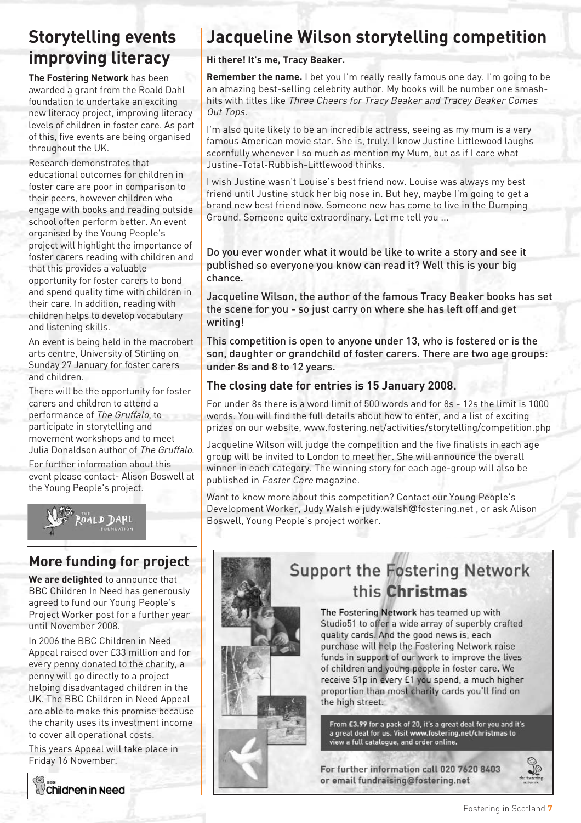### **Storytelling events improving literacy**

**The Fostering Network** has been awarded a grant from the Roald Dahl foundation to undertake an exciting new literacy project, improving literacy levels of children in foster care. As part of this, five events are being organised throughout the UK.

Research demonstrates that educational outcomes for children in foster care are poor in comparison to their peers, however children who engage with books and reading outside school often perform better. An event organised by the Young People's project will highlight the importance of foster carers reading with children and that this provides a valuable opportunity for foster carers to bond and spend quality time with children in their care. In addition, reading with children helps to develop vocabulary and listening skills.

An event is being held in the macrobert arts centre, University of Stirling on Sunday 27 January for foster carers and children.

There will be the opportunity for foster carers and children to attend a performance of The Gruffalo, to participate in storytelling and movement workshops and to meet Julia Donaldson author of The Gruffalo.

For further information about this event please contact- Alison Boswell at the Young People's project.



#### **More funding for project**

**We are delighted** to announce that BBC Children In Need has generously agreed to fund our Young People's Project Worker post for a further year until November 2008.

In 2006 the BBC Children in Need Appeal raised over £33 million and for every penny donated to the charity, a penny will go directly to a project helping disadvantaged children in the UK. The BBC Children in Need Appeal are able to make this promise because the charity uses its investment income to cover all operational costs.

This years Appeal will take place in Friday 16 November.



### **Jacqueline Wilson storytelling competition**

#### **Hi there! It's me, Tracy Beaker.**

**Remember the name.** I bet you I'm really really famous one day. I'm going to be an amazing best-selling celebrity author. My books will be number one smashhits with titles like Three Cheers for Tracy Beaker and Tracey Beaker Comes Out Tops.

I'm also quite likely to be an incredible actress, seeing as my mum is a very famous American movie star. She is, truly. I know Justine Littlewood laughs scornfully whenever I so much as mention my Mum, but as if I care what Justine-Total-Rubbish-Littlewood thinks.

I wish Justine wasn't Louise's best friend now. Louise was always my best friend until Justine stuck her big nose in. But hey, maybe I'm going to get a brand new best friend now. Someone new has come to live in the Dumping Ground. Someone quite extraordinary. Let me tell you ...

Do you ever wonder what it would be like to write a story and see it published so everyone you know can read it? Well this is your big chance.

Jacqueline Wilson, the author of the famous Tracy Beaker books has set the scene for you - so just carry on where she has left off and get writing!

This competition is open to anyone under 13, who is fostered or is the son, daughter or grandchild of foster carers. There are two age groups: under 8s and 8 to 12 years.

#### **The closing date for entries is 15 January 2008.**

For under 8s there is a word limit of 500 words and for 8s - 12s the limit is 1000 words. You will find the full details about how to enter, and a list of exciting prizes on our website, www.fostering.net/activities/storytelling/competition.php

Jacqueline Wilson will judge the competition and the five finalists in each age group will be invited to London to meet her. She will announce the overall winner in each category. The winning story for each age-group will also be published in Foster Care magazine.

Want to know more about this competition? Contact our Young People's Development Worker, Judy Walsh e judy.walsh@fostering.net , or ask Alison Boswell, Young People's project worker.